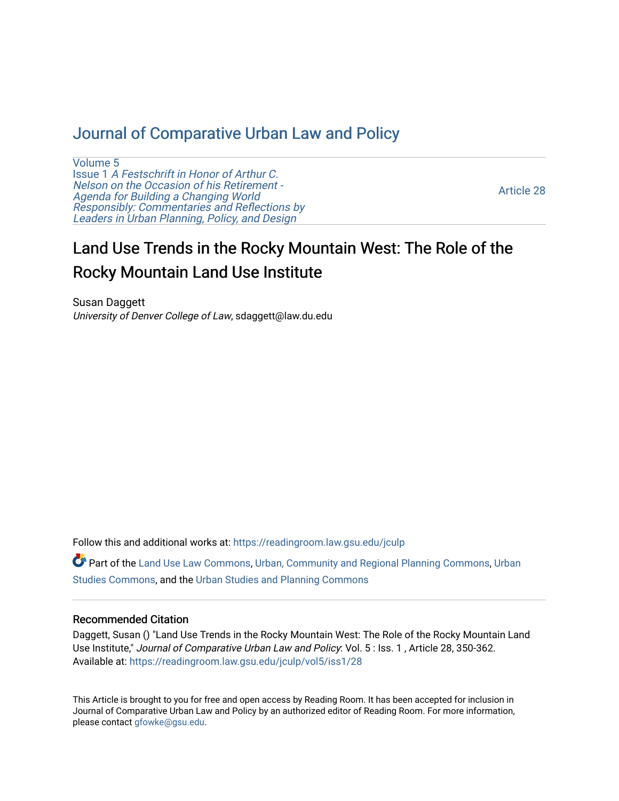# [Journal of Comparative Urban Law and Policy](https://readingroom.law.gsu.edu/jculp)

[Volume 5](https://readingroom.law.gsu.edu/jculp/vol5) Issue 1 [A Festschrift in Honor of Arthur C.](https://readingroom.law.gsu.edu/jculp/vol5/iss1) [Nelson on the Occasion of his Retirement -](https://readingroom.law.gsu.edu/jculp/vol5/iss1)  [Agenda for Building a Changing World](https://readingroom.law.gsu.edu/jculp/vol5/iss1)  [Responsibly: Commentaries and Reflections by](https://readingroom.law.gsu.edu/jculp/vol5/iss1) [Leaders in Urban Planning, Policy, and Design](https://readingroom.law.gsu.edu/jculp/vol5/iss1) 

[Article 28](https://readingroom.law.gsu.edu/jculp/vol5/iss1/28) 

# Land Use Trends in the Rocky Mountain West: The Role of the Rocky Mountain Land Use Institute

Susan Daggett University of Denver College of Law, sdaggett@law.du.edu

Follow this and additional works at: [https://readingroom.law.gsu.edu/jculp](https://readingroom.law.gsu.edu/jculp?utm_source=readingroom.law.gsu.edu%2Fjculp%2Fvol5%2Fiss1%2F28&utm_medium=PDF&utm_campaign=PDFCoverPages) 

Part of the [Land Use Law Commons](http://network.bepress.com/hgg/discipline/852?utm_source=readingroom.law.gsu.edu%2Fjculp%2Fvol5%2Fiss1%2F28&utm_medium=PDF&utm_campaign=PDFCoverPages), [Urban, Community and Regional Planning Commons,](http://network.bepress.com/hgg/discipline/776?utm_source=readingroom.law.gsu.edu%2Fjculp%2Fvol5%2Fiss1%2F28&utm_medium=PDF&utm_campaign=PDFCoverPages) [Urban](http://network.bepress.com/hgg/discipline/402?utm_source=readingroom.law.gsu.edu%2Fjculp%2Fvol5%2Fiss1%2F28&utm_medium=PDF&utm_campaign=PDFCoverPages) [Studies Commons,](http://network.bepress.com/hgg/discipline/402?utm_source=readingroom.law.gsu.edu%2Fjculp%2Fvol5%2Fiss1%2F28&utm_medium=PDF&utm_campaign=PDFCoverPages) and the [Urban Studies and Planning Commons](http://network.bepress.com/hgg/discipline/436?utm_source=readingroom.law.gsu.edu%2Fjculp%2Fvol5%2Fiss1%2F28&utm_medium=PDF&utm_campaign=PDFCoverPages) 

# Recommended Citation

Daggett, Susan () "Land Use Trends in the Rocky Mountain West: The Role of the Rocky Mountain Land Use Institute," Journal of Comparative Urban Law and Policy: Vol. 5: Iss. 1, Article 28, 350-362. Available at: [https://readingroom.law.gsu.edu/jculp/vol5/iss1/28](https://readingroom.law.gsu.edu/jculp/vol5/iss1/28?utm_source=readingroom.law.gsu.edu%2Fjculp%2Fvol5%2Fiss1%2F28&utm_medium=PDF&utm_campaign=PDFCoverPages)

This Article is brought to you for free and open access by Reading Room. It has been accepted for inclusion in Journal of Comparative Urban Law and Policy by an authorized editor of Reading Room. For more information, please contact [gfowke@gsu.edu](mailto:gfowke@gsu.edu).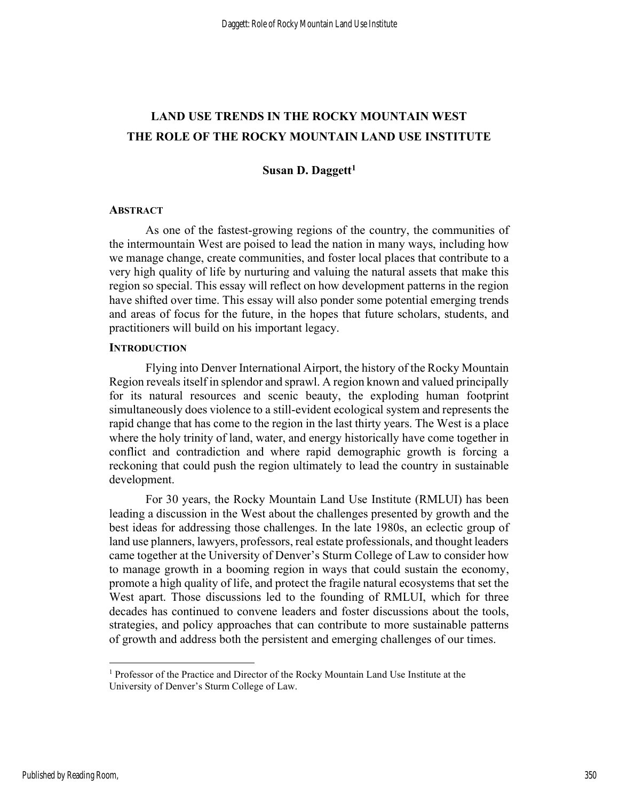# LAND USE TRENDS IN THE ROCKY MOUNTAIN WEST THE ROLE OF THE ROCKY MOUNTAIN LAND USE INSTITUTE

## Susan D. Daggett $<sup>1</sup>$ </sup>

#### **ABSTRACT**

As one of the fastest-growing regions of the country, the communities of the intermountain West are poised to lead the nation in many ways, including how we manage change, create communities, and foster local places that contribute to a very high quality of life by nurturing and valuing the natural assets that make this region so special. This essay will reflect on how development patterns in the region have shifted over time. This essay will also ponder some potential emerging trends and areas of focus for the future, in the hopes that future scholars, students, and practitioners will build on his important legacy.

#### **INTRODUCTION**

 Flying into Denver International Airport, the history of the Rocky Mountain Region reveals itself in splendor and sprawl. A region known and valued principally for its natural resources and scenic beauty, the exploding human footprint simultaneously does violence to a still-evident ecological system and represents the rapid change that has come to the region in the last thirty years. The West is a place where the holy trinity of land, water, and energy historically have come together in conflict and contradiction and where rapid demographic growth is forcing a reckoning that could push the region ultimately to lead the country in sustainable development.

 For 30 years, the Rocky Mountain Land Use Institute (RMLUI) has been leading a discussion in the West about the challenges presented by growth and the best ideas for addressing those challenges. In the late 1980s, an eclectic group of land use planners, lawyers, professors, real estate professionals, and thought leaders came together at the University of Denver's Sturm College of Law to consider how to manage growth in a booming region in ways that could sustain the economy, promote a high quality of life, and protect the fragile natural ecosystems that set the West apart. Those discussions led to the founding of RMLUI, which for three decades has continued to convene leaders and foster discussions about the tools, strategies, and policy approaches that can contribute to more sustainable patterns of growth and address both the persistent and emerging challenges of our times.

<sup>&</sup>lt;sup>1</sup> Professor of the Practice and Director of the Rocky Mountain Land Use Institute at the University of Denver's Sturm College of Law.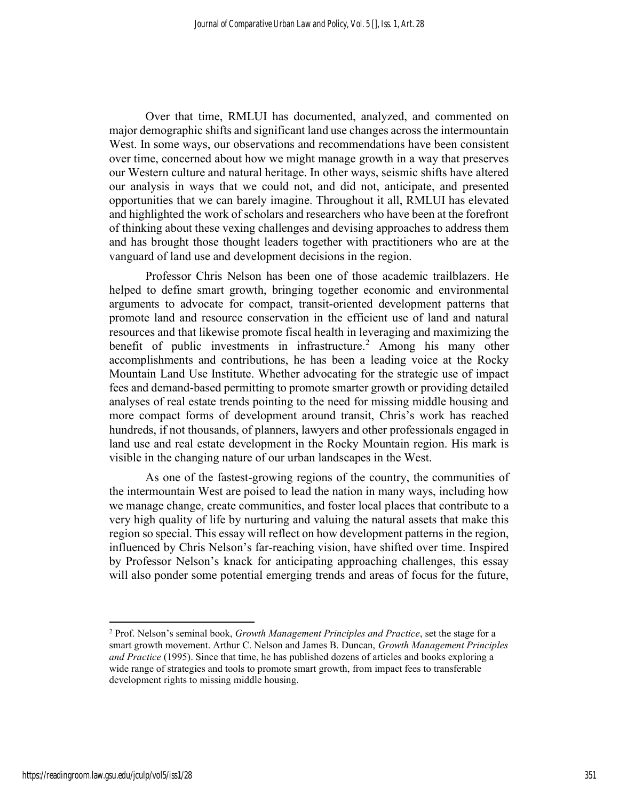Over that time, RMLUI has documented, analyzed, and commented on major demographic shifts and significant land use changes across the intermountain West. In some ways, our observations and recommendations have been consistent over time, concerned about how we might manage growth in a way that preserves our Western culture and natural heritage. In other ways, seismic shifts have altered our analysis in ways that we could not, and did not, anticipate, and presented opportunities that we can barely imagine. Throughout it all, RMLUI has elevated and highlighted the work of scholars and researchers who have been at the forefront of thinking about these vexing challenges and devising approaches to address them and has brought those thought leaders together with practitioners who are at the vanguard of land use and development decisions in the region.

Professor Chris Nelson has been one of those academic trailblazers. He helped to define smart growth, bringing together economic and environmental arguments to advocate for compact, transit-oriented development patterns that promote land and resource conservation in the efficient use of land and natural resources and that likewise promote fiscal health in leveraging and maximizing the benefit of public investments in infrastructure.<sup>2</sup> Among his many other accomplishments and contributions, he has been a leading voice at the Rocky Mountain Land Use Institute. Whether advocating for the strategic use of impact fees and demand-based permitting to promote smarter growth or providing detailed analyses of real estate trends pointing to the need for missing middle housing and more compact forms of development around transit, Chris's work has reached hundreds, if not thousands, of planners, lawyers and other professionals engaged in land use and real estate development in the Rocky Mountain region. His mark is visible in the changing nature of our urban landscapes in the West.

As one of the fastest-growing regions of the country, the communities of the intermountain West are poised to lead the nation in many ways, including how we manage change, create communities, and foster local places that contribute to a very high quality of life by nurturing and valuing the natural assets that make this region so special. This essay will reflect on how development patterns in the region, influenced by Chris Nelson's far-reaching vision, have shifted over time. Inspired by Professor Nelson's knack for anticipating approaching challenges, this essay will also ponder some potential emerging trends and areas of focus for the future,

<sup>&</sup>lt;sup>2</sup> Prof. Nelson's seminal book, *Growth Management Principles and Practice*, set the stage for a smart growth movement. Arthur C. Nelson and James B. Duncan, Growth Management Principles and Practice (1995). Since that time, he has published dozens of articles and books exploring a wide range of strategies and tools to promote smart growth, from impact fees to transferable development rights to missing middle housing.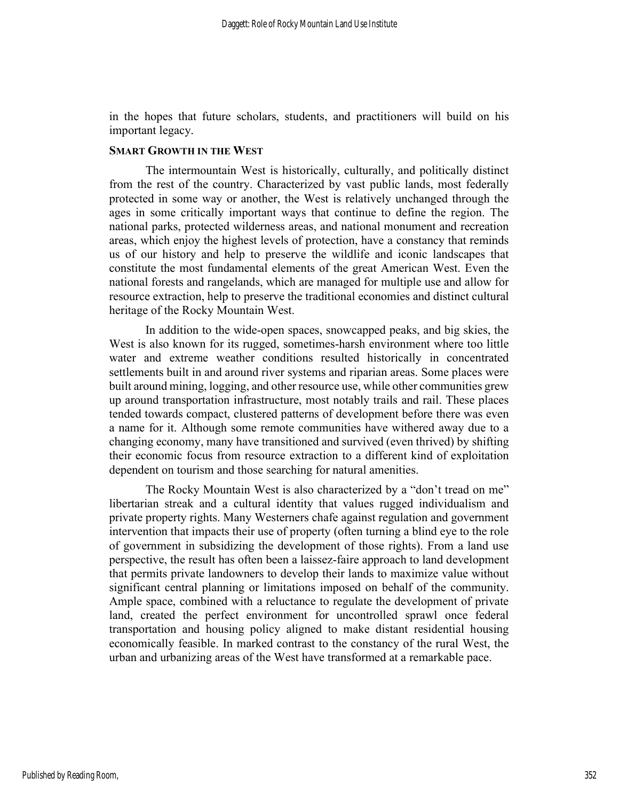in the hopes that future scholars, students, and practitioners will build on his important legacy.

## SMART GROWTH IN THE WEST

 The intermountain West is historically, culturally, and politically distinct from the rest of the country. Characterized by vast public lands, most federally protected in some way or another, the West is relatively unchanged through the ages in some critically important ways that continue to define the region. The national parks, protected wilderness areas, and national monument and recreation areas, which enjoy the highest levels of protection, have a constancy that reminds us of our history and help to preserve the wildlife and iconic landscapes that constitute the most fundamental elements of the great American West. Even the national forests and rangelands, which are managed for multiple use and allow for resource extraction, help to preserve the traditional economies and distinct cultural heritage of the Rocky Mountain West.

In addition to the wide-open spaces, snowcapped peaks, and big skies, the West is also known for its rugged, sometimes-harsh environment where too little water and extreme weather conditions resulted historically in concentrated settlements built in and around river systems and riparian areas. Some places were built around mining, logging, and other resource use, while other communities grew up around transportation infrastructure, most notably trails and rail. These places tended towards compact, clustered patterns of development before there was even a name for it. Although some remote communities have withered away due to a changing economy, many have transitioned and survived (even thrived) by shifting their economic focus from resource extraction to a different kind of exploitation dependent on tourism and those searching for natural amenities.

 The Rocky Mountain West is also characterized by a "don't tread on me" libertarian streak and a cultural identity that values rugged individualism and private property rights. Many Westerners chafe against regulation and government intervention that impacts their use of property (often turning a blind eye to the role of government in subsidizing the development of those rights). From a land use perspective, the result has often been a laissez-faire approach to land development that permits private landowners to develop their lands to maximize value without significant central planning or limitations imposed on behalf of the community. Ample space, combined with a reluctance to regulate the development of private land, created the perfect environment for uncontrolled sprawl once federal transportation and housing policy aligned to make distant residential housing economically feasible. In marked contrast to the constancy of the rural West, the urban and urbanizing areas of the West have transformed at a remarkable pace.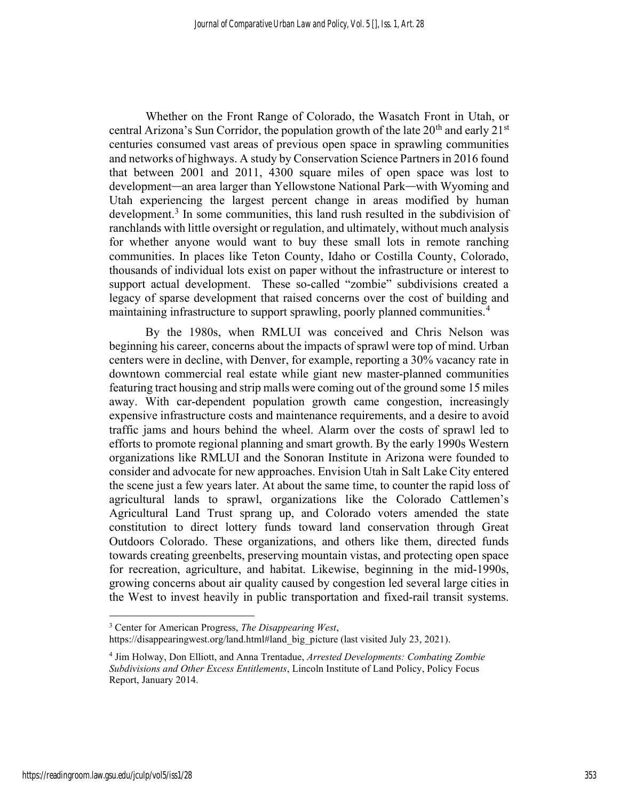Whether on the Front Range of Colorado, the Wasatch Front in Utah, or central Arizona's Sun Corridor, the population growth of the late  $20<sup>th</sup>$  and early  $21<sup>st</sup>$ centuries consumed vast areas of previous open space in sprawling communities and networks of highways. A study by Conservation Science Partners in 2016 found that between 2001 and 2011, 4300 square miles of open space was lost to development—an area larger than Yellowstone National Park—with Wyoming and Utah experiencing the largest percent change in areas modified by human development.<sup>3</sup> In some communities, this land rush resulted in the subdivision of ranchlands with little oversight or regulation, and ultimately, without much analysis for whether anyone would want to buy these small lots in remote ranching communities. In places like Teton County, Idaho or Costilla County, Colorado, thousands of individual lots exist on paper without the infrastructure or interest to support actual development. These so-called "zombie" subdivisions created a legacy of sparse development that raised concerns over the cost of building and maintaining infrastructure to support sprawling, poorly planned communities.<sup>4</sup>

By the 1980s, when RMLUI was conceived and Chris Nelson was beginning his career, concerns about the impacts of sprawl were top of mind. Urban centers were in decline, with Denver, for example, reporting a 30% vacancy rate in downtown commercial real estate while giant new master-planned communities featuring tract housing and strip malls were coming out of the ground some 15 miles away. With car-dependent population growth came congestion, increasingly expensive infrastructure costs and maintenance requirements, and a desire to avoid traffic jams and hours behind the wheel. Alarm over the costs of sprawl led to efforts to promote regional planning and smart growth. By the early 1990s Western organizations like RMLUI and the Sonoran Institute in Arizona were founded to consider and advocate for new approaches. Envision Utah in Salt Lake City entered the scene just a few years later. At about the same time, to counter the rapid loss of agricultural lands to sprawl, organizations like the Colorado Cattlemen's Agricultural Land Trust sprang up, and Colorado voters amended the state constitution to direct lottery funds toward land conservation through Great Outdoors Colorado. These organizations, and others like them, directed funds towards creating greenbelts, preserving mountain vistas, and protecting open space for recreation, agriculture, and habitat. Likewise, beginning in the mid-1990s, growing concerns about air quality caused by congestion led several large cities in the West to invest heavily in public transportation and fixed-rail transit systems.

 $3$  Center for American Progress, The Disappearing West, https://disappearingwest.org/land.html#land\_big\_picture (last visited July 23, 2021).

<sup>&</sup>lt;sup>4</sup> Jim Holway, Don Elliott, and Anna Trentadue, Arrested Developments: Combating Zombie Subdivisions and Other Excess Entitlements, Lincoln Institute of Land Policy, Policy Focus Report, January 2014.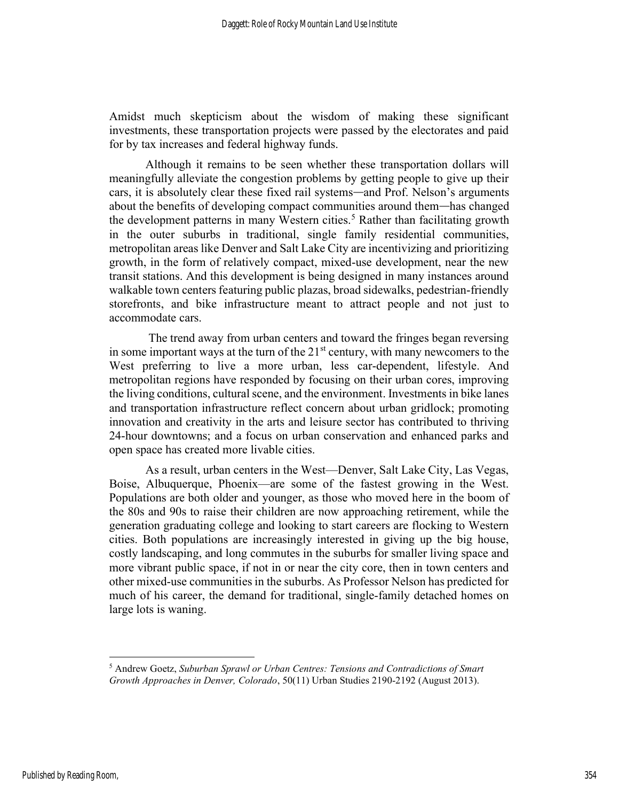Amidst much skepticism about the wisdom of making these significant investments, these transportation projects were passed by the electorates and paid for by tax increases and federal highway funds.

Although it remains to be seen whether these transportation dollars will meaningfully alleviate the congestion problems by getting people to give up their cars, it is absolutely clear these fixed rail systems—and Prof. Nelson's arguments about the benefits of developing compact communities around them—has changed the development patterns in many Western cities.<sup>5</sup> Rather than facilitating growth in the outer suburbs in traditional, single family residential communities, metropolitan areas like Denver and Salt Lake City are incentivizing and prioritizing growth, in the form of relatively compact, mixed-use development, near the new transit stations. And this development is being designed in many instances around walkable town centers featuring public plazas, broad sidewalks, pedestrian-friendly storefronts, and bike infrastructure meant to attract people and not just to accommodate cars.

 The trend away from urban centers and toward the fringes began reversing in some important ways at the turn of the  $21<sup>st</sup>$  century, with many newcomers to the West preferring to live a more urban, less car-dependent, lifestyle. And metropolitan regions have responded by focusing on their urban cores, improving the living conditions, cultural scene, and the environment. Investments in bike lanes and transportation infrastructure reflect concern about urban gridlock; promoting innovation and creativity in the arts and leisure sector has contributed to thriving 24-hour downtowns; and a focus on urban conservation and enhanced parks and open space has created more livable cities.

As a result, urban centers in the West—Denver, Salt Lake City, Las Vegas, Boise, Albuquerque, Phoenix—are some of the fastest growing in the West. Populations are both older and younger, as those who moved here in the boom of the 80s and 90s to raise their children are now approaching retirement, while the generation graduating college and looking to start careers are flocking to Western cities. Both populations are increasingly interested in giving up the big house, costly landscaping, and long commutes in the suburbs for smaller living space and more vibrant public space, if not in or near the city core, then in town centers and other mixed-use communities in the suburbs. As Professor Nelson has predicted for much of his career, the demand for traditional, single-family detached homes on large lots is waning.

 $<sup>5</sup>$  Andrew Goetz, Suburban Sprawl or Urban Centres: Tensions and Contradictions of Smart</sup> Growth Approaches in Denver, Colorado, 50(11) Urban Studies 2190-2192 (August 2013).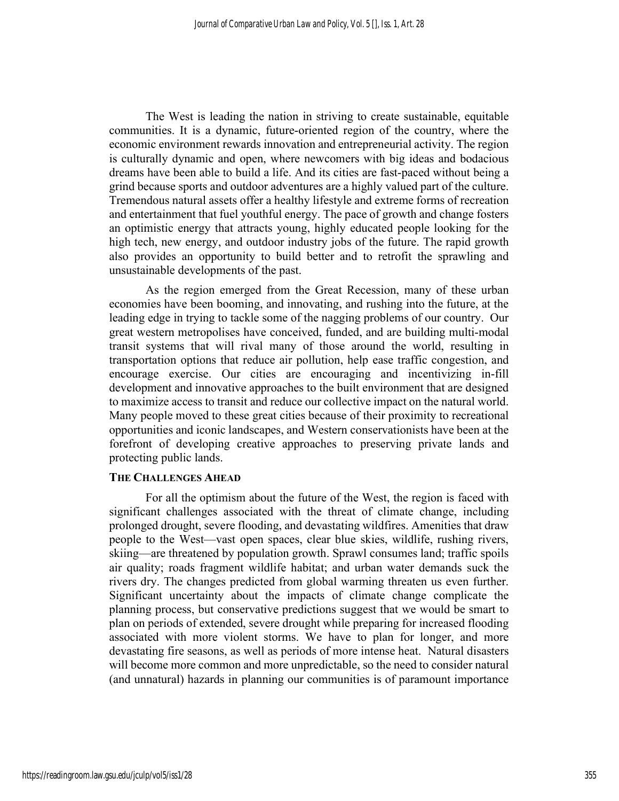The West is leading the nation in striving to create sustainable, equitable communities. It is a dynamic, future-oriented region of the country, where the economic environment rewards innovation and entrepreneurial activity. The region is culturally dynamic and open, where newcomers with big ideas and bodacious dreams have been able to build a life. And its cities are fast-paced without being a grind because sports and outdoor adventures are a highly valued part of the culture. Tremendous natural assets offer a healthy lifestyle and extreme forms of recreation and entertainment that fuel youthful energy. The pace of growth and change fosters an optimistic energy that attracts young, highly educated people looking for the high tech, new energy, and outdoor industry jobs of the future. The rapid growth also provides an opportunity to build better and to retrofit the sprawling and unsustainable developments of the past.

 As the region emerged from the Great Recession, many of these urban economies have been booming, and innovating, and rushing into the future, at the leading edge in trying to tackle some of the nagging problems of our country. Our great western metropolises have conceived, funded, and are building multi-modal transit systems that will rival many of those around the world, resulting in transportation options that reduce air pollution, help ease traffic congestion, and encourage exercise. Our cities are encouraging and incentivizing in-fill development and innovative approaches to the built environment that are designed to maximize access to transit and reduce our collective impact on the natural world. Many people moved to these great cities because of their proximity to recreational opportunities and iconic landscapes, and Western conservationists have been at the forefront of developing creative approaches to preserving private lands and protecting public lands.

#### THE CHALLENGES AHEAD

 For all the optimism about the future of the West, the region is faced with significant challenges associated with the threat of climate change, including prolonged drought, severe flooding, and devastating wildfires. Amenities that draw people to the West—vast open spaces, clear blue skies, wildlife, rushing rivers, skiing—are threatened by population growth. Sprawl consumes land; traffic spoils air quality; roads fragment wildlife habitat; and urban water demands suck the rivers dry. The changes predicted from global warming threaten us even further. Significant uncertainty about the impacts of climate change complicate the planning process, but conservative predictions suggest that we would be smart to plan on periods of extended, severe drought while preparing for increased flooding associated with more violent storms. We have to plan for longer, and more devastating fire seasons, as well as periods of more intense heat. Natural disasters will become more common and more unpredictable, so the need to consider natural (and unnatural) hazards in planning our communities is of paramount importance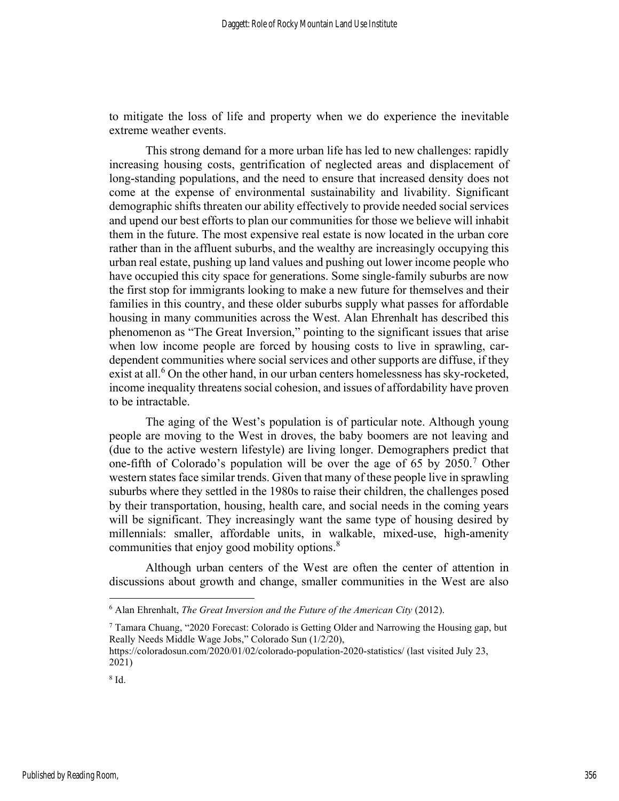to mitigate the loss of life and property when we do experience the inevitable extreme weather events.

 This strong demand for a more urban life has led to new challenges: rapidly increasing housing costs, gentrification of neglected areas and displacement of long-standing populations, and the need to ensure that increased density does not come at the expense of environmental sustainability and livability. Significant demographic shifts threaten our ability effectively to provide needed social services and upend our best efforts to plan our communities for those we believe will inhabit them in the future. The most expensive real estate is now located in the urban core rather than in the affluent suburbs, and the wealthy are increasingly occupying this urban real estate, pushing up land values and pushing out lower income people who have occupied this city space for generations. Some single-family suburbs are now the first stop for immigrants looking to make a new future for themselves and their families in this country, and these older suburbs supply what passes for affordable housing in many communities across the West. Alan Ehrenhalt has described this phenomenon as "The Great Inversion," pointing to the significant issues that arise when low income people are forced by housing costs to live in sprawling, cardependent communities where social services and other supports are diffuse, if they exist at all.<sup>6</sup> On the other hand, in our urban centers homelessness has sky-rocketed, income inequality threatens social cohesion, and issues of affordability have proven to be intractable.

 The aging of the West's population is of particular note. Although young people are moving to the West in droves, the baby boomers are not leaving and (due to the active western lifestyle) are living longer. Demographers predict that one-fifth of Colorado's population will be over the age of 65 by  $2050$ .<sup>7</sup> Other western states face similar trends. Given that many of these people live in sprawling suburbs where they settled in the 1980s to raise their children, the challenges posed by their transportation, housing, health care, and social needs in the coming years will be significant. They increasingly want the same type of housing desired by millennials: smaller, affordable units, in walkable, mixed-use, high-amenity communities that enjoy good mobility options.<sup>8</sup>

 Although urban centers of the West are often the center of attention in discussions about growth and change, smaller communities in the West are also

 $6$  Alan Ehrenhalt, The Great Inversion and the Future of the American City (2012).

<sup>7</sup> Tamara Chuang, "2020 Forecast: Colorado is Getting Older and Narrowing the Housing gap, but Really Needs Middle Wage Jobs," Colorado Sun (1/2/20),

https://coloradosun.com/2020/01/02/colorado-population-2020-statistics/ (last visited July 23, 2021)

<sup>8</sup> Id.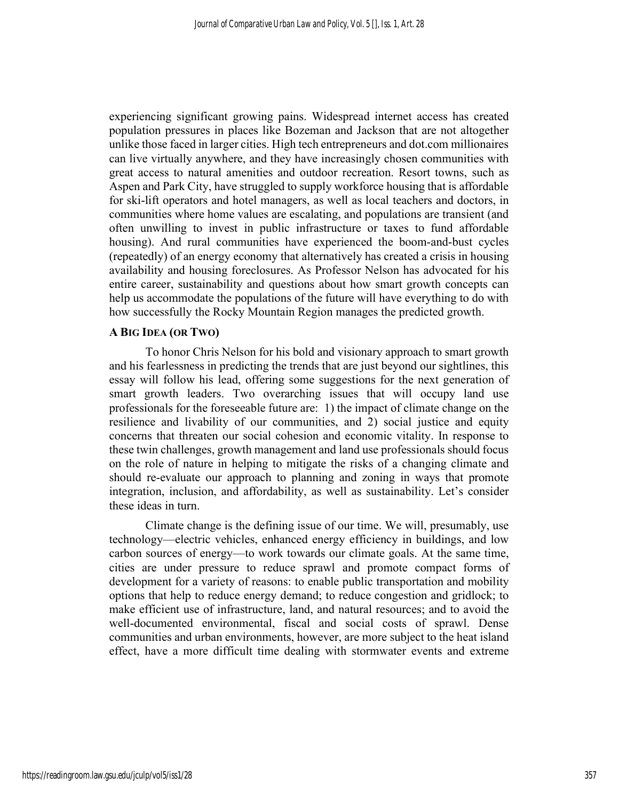experiencing significant growing pains. Widespread internet access has created population pressures in places like Bozeman and Jackson that are not altogether unlike those faced in larger cities. High tech entrepreneurs and dot.com millionaires can live virtually anywhere, and they have increasingly chosen communities with great access to natural amenities and outdoor recreation. Resort towns, such as Aspen and Park City, have struggled to supply workforce housing that is affordable for ski-lift operators and hotel managers, as well as local teachers and doctors, in communities where home values are escalating, and populations are transient (and often unwilling to invest in public infrastructure or taxes to fund affordable housing). And rural communities have experienced the boom-and-bust cycles (repeatedly) of an energy economy that alternatively has created a crisis in housing availability and housing foreclosures. As Professor Nelson has advocated for his entire career, sustainability and questions about how smart growth concepts can help us accommodate the populations of the future will have everything to do with how successfully the Rocky Mountain Region manages the predicted growth.

## A BIG IDEA (OR TWO)

To honor Chris Nelson for his bold and visionary approach to smart growth and his fearlessness in predicting the trends that are just beyond our sightlines, this essay will follow his lead, offering some suggestions for the next generation of smart growth leaders. Two overarching issues that will occupy land use professionals for the foreseeable future are: 1) the impact of climate change on the resilience and livability of our communities, and 2) social justice and equity concerns that threaten our social cohesion and economic vitality. In response to these twin challenges, growth management and land use professionals should focus on the role of nature in helping to mitigate the risks of a changing climate and should re-evaluate our approach to planning and zoning in ways that promote integration, inclusion, and affordability, as well as sustainability. Let's consider these ideas in turn.

Climate change is the defining issue of our time. We will, presumably, use technology—electric vehicles, enhanced energy efficiency in buildings, and low carbon sources of energy—to work towards our climate goals. At the same time, cities are under pressure to reduce sprawl and promote compact forms of development for a variety of reasons: to enable public transportation and mobility options that help to reduce energy demand; to reduce congestion and gridlock; to make efficient use of infrastructure, land, and natural resources; and to avoid the well-documented environmental, fiscal and social costs of sprawl. Dense communities and urban environments, however, are more subject to the heat island effect, have a more difficult time dealing with stormwater events and extreme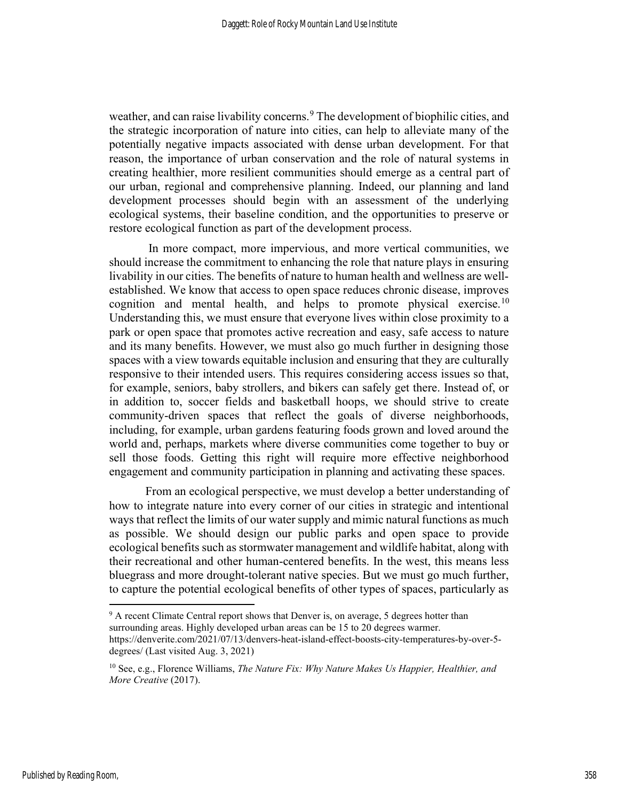weather, and can raise livability concerns.<sup>9</sup> The development of biophilic cities, and the strategic incorporation of nature into cities, can help to alleviate many of the potentially negative impacts associated with dense urban development. For that reason, the importance of urban conservation and the role of natural systems in creating healthier, more resilient communities should emerge as a central part of our urban, regional and comprehensive planning. Indeed, our planning and land development processes should begin with an assessment of the underlying ecological systems, their baseline condition, and the opportunities to preserve or restore ecological function as part of the development process.

 In more compact, more impervious, and more vertical communities, we should increase the commitment to enhancing the role that nature plays in ensuring livability in our cities. The benefits of nature to human health and wellness are wellestablished. We know that access to open space reduces chronic disease, improves cognition and mental health, and helps to promote physical exercise.<sup>10</sup> Understanding this, we must ensure that everyone lives within close proximity to a park or open space that promotes active recreation and easy, safe access to nature and its many benefits. However, we must also go much further in designing those spaces with a view towards equitable inclusion and ensuring that they are culturally responsive to their intended users. This requires considering access issues so that, for example, seniors, baby strollers, and bikers can safely get there. Instead of, or in addition to, soccer fields and basketball hoops, we should strive to create community-driven spaces that reflect the goals of diverse neighborhoods, including, for example, urban gardens featuring foods grown and loved around the world and, perhaps, markets where diverse communities come together to buy or sell those foods. Getting this right will require more effective neighborhood engagement and community participation in planning and activating these spaces.

From an ecological perspective, we must develop a better understanding of how to integrate nature into every corner of our cities in strategic and intentional ways that reflect the limits of our water supply and mimic natural functions as much as possible. We should design our public parks and open space to provide ecological benefits such as stormwater management and wildlife habitat, along with their recreational and other human-centered benefits. In the west, this means less bluegrass and more drought-tolerant native species. But we must go much further, to capture the potential ecological benefits of other types of spaces, particularly as

<sup>&</sup>lt;sup>9</sup> A recent Climate Central report shows that Denver is, on average, 5 degrees hotter than surrounding areas. Highly developed urban areas can be 15 to 20 degrees warmer. https://denverite.com/2021/07/13/denvers-heat-island-effect-boosts-city-temperatures-by-over-5 degrees/ (Last visited Aug. 3, 2021)

 $10$  See, e.g., Florence Williams, The Nature Fix: Why Nature Makes Us Happier, Healthier, and More Creative (2017).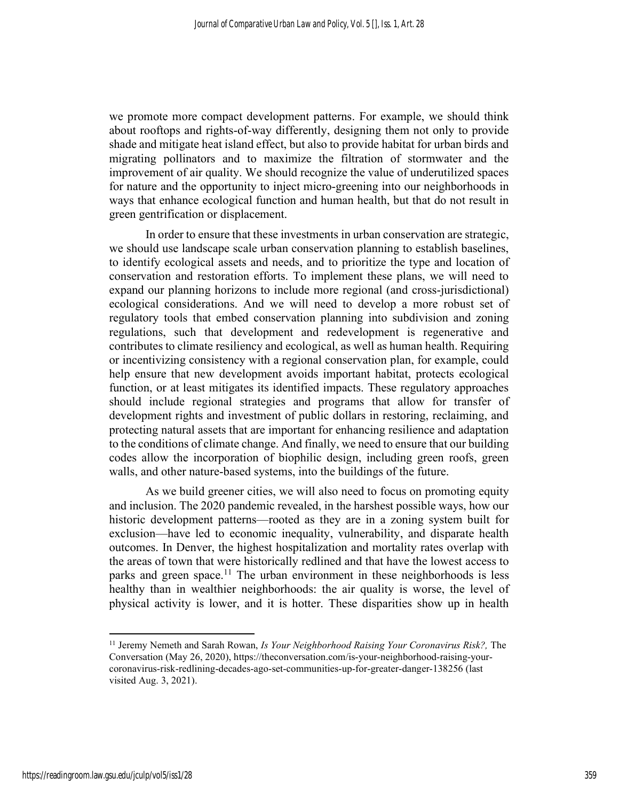we promote more compact development patterns. For example, we should think about rooftops and rights-of-way differently, designing them not only to provide shade and mitigate heat island effect, but also to provide habitat for urban birds and migrating pollinators and to maximize the filtration of stormwater and the improvement of air quality. We should recognize the value of underutilized spaces for nature and the opportunity to inject micro-greening into our neighborhoods in ways that enhance ecological function and human health, but that do not result in green gentrification or displacement.

 In order to ensure that these investments in urban conservation are strategic, we should use landscape scale urban conservation planning to establish baselines, to identify ecological assets and needs, and to prioritize the type and location of conservation and restoration efforts. To implement these plans, we will need to expand our planning horizons to include more regional (and cross-jurisdictional) ecological considerations. And we will need to develop a more robust set of regulatory tools that embed conservation planning into subdivision and zoning regulations, such that development and redevelopment is regenerative and contributes to climate resiliency and ecological, as well as human health. Requiring or incentivizing consistency with a regional conservation plan, for example, could help ensure that new development avoids important habitat, protects ecological function, or at least mitigates its identified impacts. These regulatory approaches should include regional strategies and programs that allow for transfer of development rights and investment of public dollars in restoring, reclaiming, and protecting natural assets that are important for enhancing resilience and adaptation to the conditions of climate change. And finally, we need to ensure that our building codes allow the incorporation of biophilic design, including green roofs, green walls, and other nature-based systems, into the buildings of the future.

 As we build greener cities, we will also need to focus on promoting equity and inclusion. The 2020 pandemic revealed, in the harshest possible ways, how our historic development patterns—rooted as they are in a zoning system built for exclusion—have led to economic inequality, vulnerability, and disparate health outcomes. In Denver, the highest hospitalization and mortality rates overlap with the areas of town that were historically redlined and that have the lowest access to parks and green space.<sup>11</sup> The urban environment in these neighborhoods is less healthy than in wealthier neighborhoods: the air quality is worse, the level of physical activity is lower, and it is hotter. These disparities show up in health

<sup>&</sup>lt;sup>11</sup> Jeremy Nemeth and Sarah Rowan, Is Your Neighborhood Raising Your Coronavirus Risk?, The Conversation (May 26, 2020), https://theconversation.com/is-your-neighborhood-raising-yourcoronavirus-risk-redlining-decades-ago-set-communities-up-for-greater-danger-138256 (last visited Aug. 3, 2021).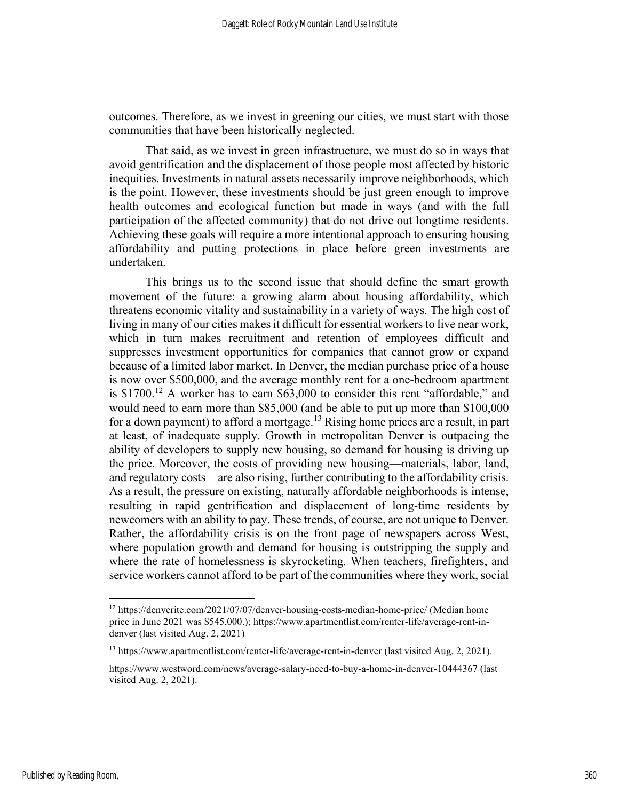outcomes. Therefore, as we invest in greening our cities, we must start with those communities that have been historically neglected.

That said, as we invest in green infrastructure, we must do so in ways that avoid gentrification and the displacement of those people most affected by historic inequities. Investments in natural assets necessarily improve neighborhoods, which is the point. However, these investments should be just green enough to improve health outcomes and ecological function but made in ways (and with the full participation of the affected community) that do not drive out longtime residents. Achieving these goals will require a more intentional approach to ensuring housing affordability and putting protections in place before green investments are undertaken.

This brings us to the second issue that should define the smart growth movement of the future: a growing alarm about housing affordability, which threatens economic vitality and sustainability in a variety of ways. The high cost of living in many of our cities makes it difficult for essential workers to live near work, which in turn makes recruitment and retention of employees difficult and suppresses investment opportunities for companies that cannot grow or expand because of a limited labor market. In Denver, the median purchase price of a house is now over \$500,000, and the average monthly rent for a one-bedroom apartment is  $$1700<sup>12</sup>$  A worker has to earn  $$63,000$  to consider this rent "affordable," and would need to earn more than \$85,000 (and be able to put up more than \$100,000 for a down payment) to afford a mortgage.<sup>13</sup> Rising home prices are a result, in part at least, of inadequate supply. Growth in metropolitan Denver is outpacing the ability of developers to supply new housing, so demand for housing is driving up the price. Moreover, the costs of providing new housing—materials, labor, land, and regulatory costs—are also rising, further contributing to the affordability crisis. As a result, the pressure on existing, naturally affordable neighborhoods is intense, resulting in rapid gentrification and displacement of long-time residents by newcomers with an ability to pay. These trends, of course, are not unique to Denver. Rather, the affordability crisis is on the front page of newspapers across West, where population growth and demand for housing is outstripping the supply and where the rate of homelessness is skyrocketing. When teachers, firefighters, and service workers cannot afford to be part of the communities where they work, social

<sup>12</sup> https://denverite.com/2021/07/07/denver-housing-costs-median-home-price/ (Median home price in June 2021 was \$545,000.); https://www.apartmentlist.com/renter-life/average-rent-indenver (last visited Aug. 2, 2021)

<sup>13</sup> https://www.apartmentlist.com/renter-life/average-rent-in-denver (last visited Aug. 2, 2021).

https://www.westword.com/news/average-salary-need-to-buy-a-home-in-denver-10444367 (last visited Aug. 2, 2021).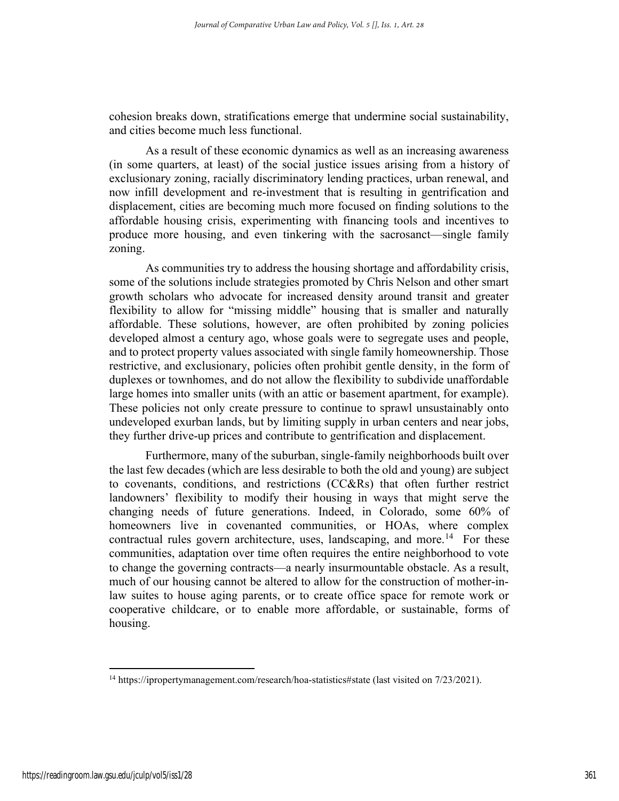cohesion breaks down, stratifications emerge that undermine social sustainability, and cities become much less functional.

 As a result of these economic dynamics as well as an increasing awareness (in some quarters, at least) of the social justice issues arising from a history of exclusionary zoning, racially discriminatory lending practices, urban renewal, and now infill development and re-investment that is resulting in gentrification and displacement, cities are becoming much more focused on finding solutions to the affordable housing crisis, experimenting with financing tools and incentives to produce more housing, and even tinkering with the sacrosanct—single family zoning.

 As communities try to address the housing shortage and affordability crisis, some of the solutions include strategies promoted by Chris Nelson and other smart growth scholars who advocate for increased density around transit and greater flexibility to allow for "missing middle" housing that is smaller and naturally affordable. These solutions, however, are often prohibited by zoning policies developed almost a century ago, whose goals were to segregate uses and people, and to protect property values associated with single family homeownership. Those restrictive, and exclusionary, policies often prohibit gentle density, in the form of duplexes or townhomes, and do not allow the flexibility to subdivide unaffordable large homes into smaller units (with an attic or basement apartment, for example). These policies not only create pressure to continue to sprawl unsustainably onto undeveloped exurban lands, but by limiting supply in urban centers and near jobs, they further drive-up prices and contribute to gentrification and displacement.

Furthermore, many of the suburban, single-family neighborhoods built over the last few decades (which are less desirable to both the old and young) are subject to covenants, conditions, and restrictions (CC&Rs) that often further restrict landowners' flexibility to modify their housing in ways that might serve the changing needs of future generations. Indeed, in Colorado, some 60% of homeowners live in covenanted communities, or HOAs, where complex contractual rules govern architecture, uses, landscaping, and more.<sup>14</sup> For these communities, adaptation over time often requires the entire neighborhood to vote to change the governing contracts—a nearly insurmountable obstacle. As a result, much of our housing cannot be altered to allow for the construction of mother-inlaw suites to house aging parents, or to create office space for remote work or cooperative childcare, or to enable more affordable, or sustainable, forms of housing.

<sup>&</sup>lt;sup>14</sup> https://ipropertymanagement.com/research/hoa-statistics#state (last visited on 7/23/2021).